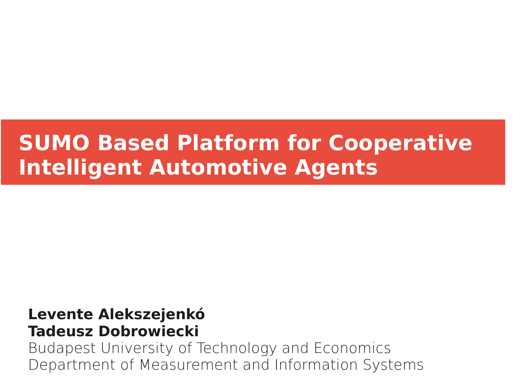# **SUMO Based Platform for Cooperative Intelligent Automotive Agents**

#### **Levente Alekszejenkó Tadeusz Dobrowiecki**

Budapest University of Technology and Economics Department of Measurement and Information Systems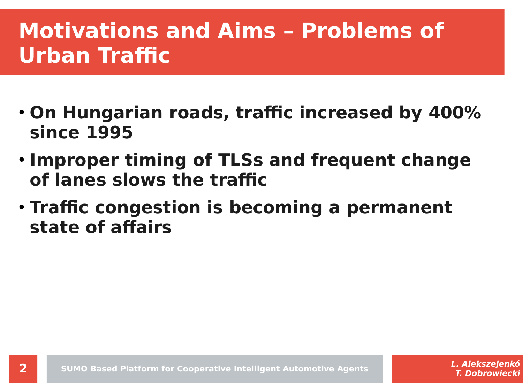# **Motivations and Aims – Problems of Urban Traffic**

- **On Hungarian roads, traffic increased by 400% since 1995**
- **Improper timing of TLSs and frequent change of lanes slows the traffic**
- **Traffic congestion is becoming a permanent state of affairs**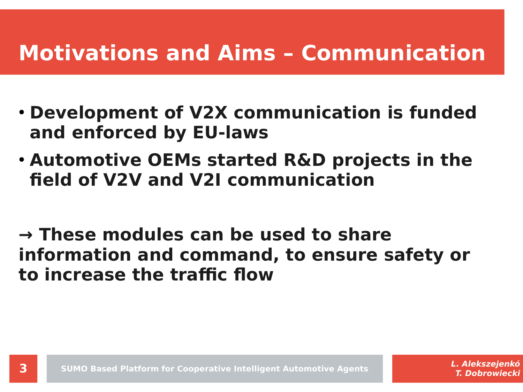# **Motivations and Aims – Communication**

- **Development of V2X communication is funded and enforced by EU-laws**
- **Automotive OEMs started R&D projects in the field of V2V and V2I communication**
- **→ These modules can be used to share information and command, to ensure safety or to increase the traffic flow**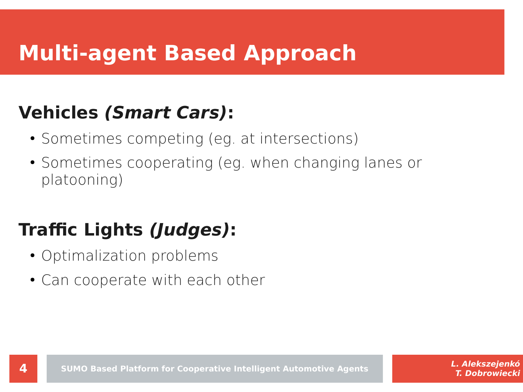# **Multi-agent Based Approach**

#### **Vehicles (Smart Cars):**

- Sometimes competing (eg. at intersections)
- Sometimes cooperating (eg. when changing lanes or platooning)

## **Traffic Lights (Judges):**

- Optimalization problems
- Can cooperate with each other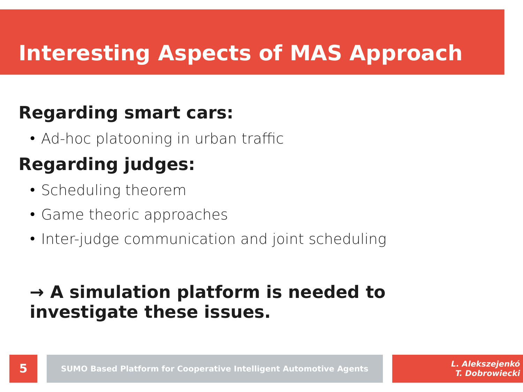# **Interesting Aspects of MAS Approach**

#### **Regarding smart cars:**

• Ad-hoc platooning in urban traffic

## **Regarding judges:**

- Scheduling theorem
- Game theoric approaches
- Inter-judge communication and joint scheduling

#### **→ A simulation platform is needed to investigate these issues.**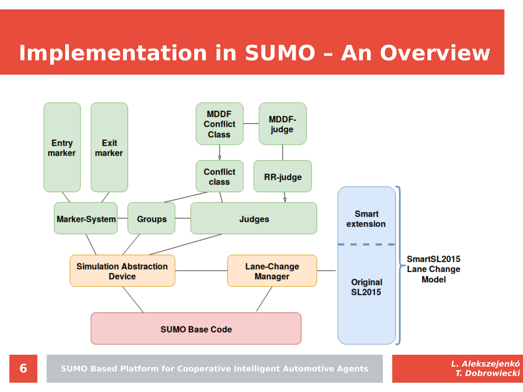# **Implementation in SUMO – An Overview**

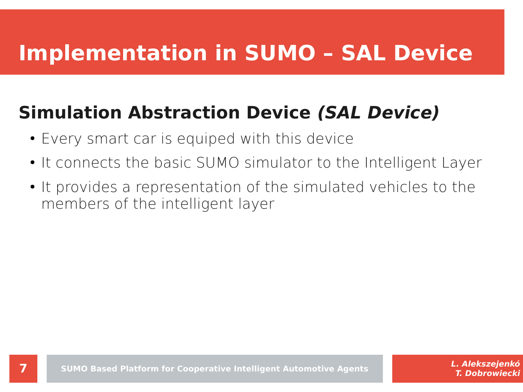# **Implementation in SUMO – SAL Device**

#### **Simulation Abstraction Device (SAL Device)**

- Every smart car is equiped with this device
- It connects the basic SUMO simulator to the Intelligent Layer
- It provides a representation of the simulated vehicles to the members of the intelligent layer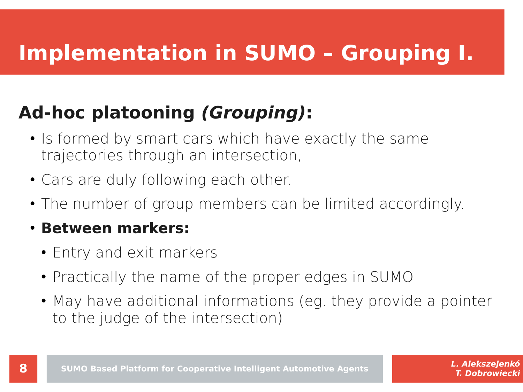# **Implementation in SUMO – Grouping I.**

### **Ad-hoc platooning (Grouping):**

- Is formed by smart cars which have exactly the same trajectories through an intersection,
- Cars are duly following each other.
- The number of group members can be limited accordingly.

#### ● **Between markers:**

- Entry and exit markers
- Practically the name of the proper edges in SUMO
- May have additional informations (eg. they provide a pointer to the judge of the intersection)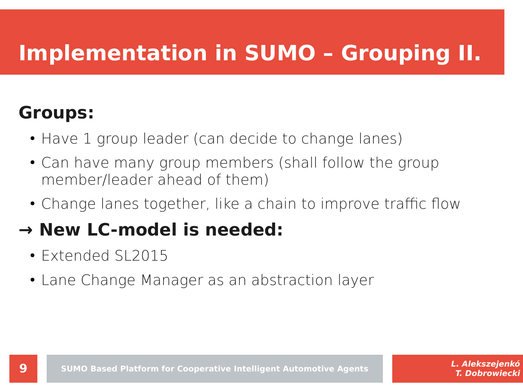# **Implementation in SUMO – Grouping II.**

#### **Groups:**

- Have 1 group leader (can decide to change lanes)
- Can have many group members (shall follow the group member/leader ahead of them)
- Change lanes together, like a chain to improve traffic flow

### **→ New LC-model is needed:**

- Extended SL2015
- Lane Change Manager as an abstraction layer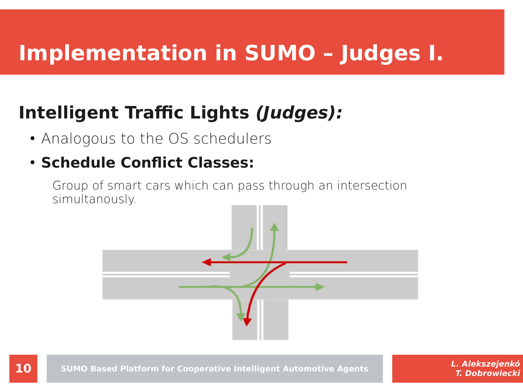# **Implementation in SUMO – Judges I.**

#### **Intelligent Traffic Lights (Judges):**

- Analogous to the OS schedulers
- **Schedule Conflict Classes:**

Group of smart cars which can pass through an intersection simultanously.

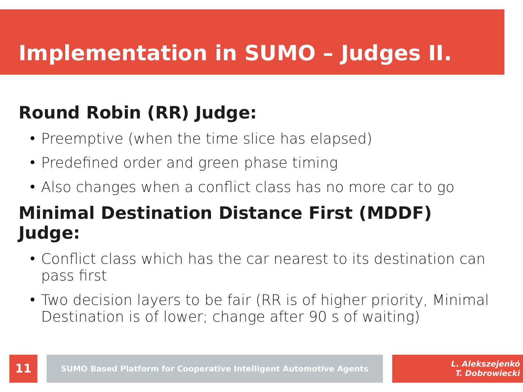# **Implementation in SUMO – Judges II.**

### **Round Robin (RR) Judge:**

- Preemptive (when the time slice has elapsed)
- Predefined order and green phase timing
- Also changes when a conflict class has no more car to go

#### **Minimal Destination Distance First (MDDF) Judge:**

- Conflict class which has the car nearest to its destination can pass first
- Two decision layers to be fair (RR is of higher priority, Minimal Destination is of lower; change after 90 s of waiting)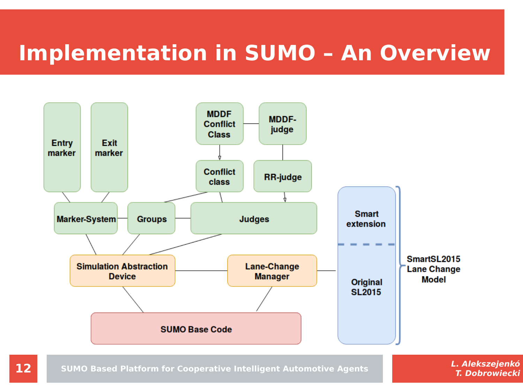# **Implementation in SUMO – An Overview**

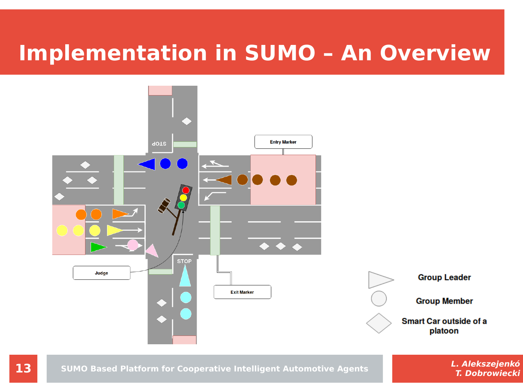## **Implementation in SUMO – An Overview**



**13 I. Alekszejenkó 13 I. Alekszejenkó SUMO Based Platform for Cooperative Intelligent Automotive Agents**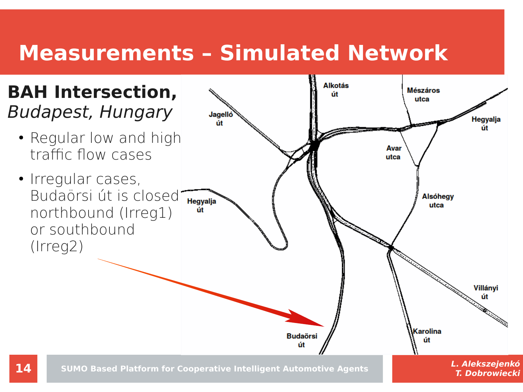# **Measurements – Simulated Network**

#### **BAH Intersection,**  Budapest, Hungary

- Regular low and high traffic flow cases
- Irregular cases, Budaörsi út is closed northbound (Irreg1) or southbound (Irreg2)

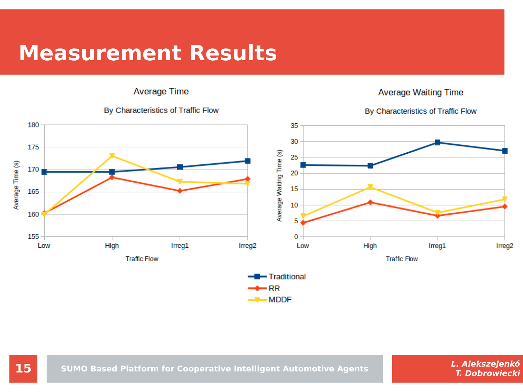## **Measurement Results**

**Average Time** 



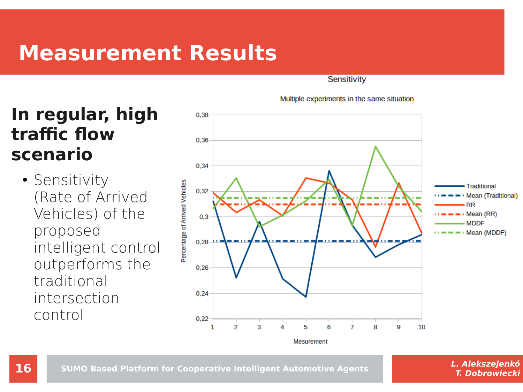## **Measurement Results**

Sensitivity

Multiple experiments in the same situation



#### **In regular, high traffic flow scenario**

• Sensitivity (Rate of Arrived Vehicles) of the proposed intelligent control outperforms the traditional intersection control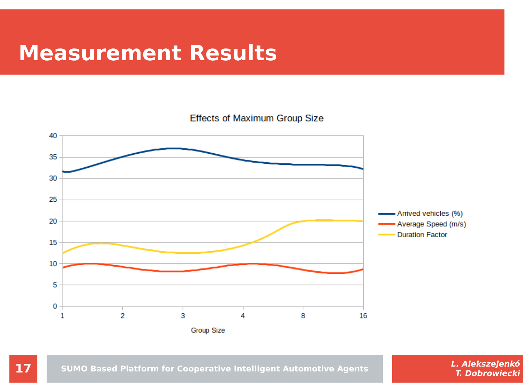#### **Measurement Results**

**Effects of Maximum Group Size** 



**17 C. Alekszejenkó 17 SUMO Based Platform for Cooperative Intelligent Automotive Agents <b>C. Alekszejenkó**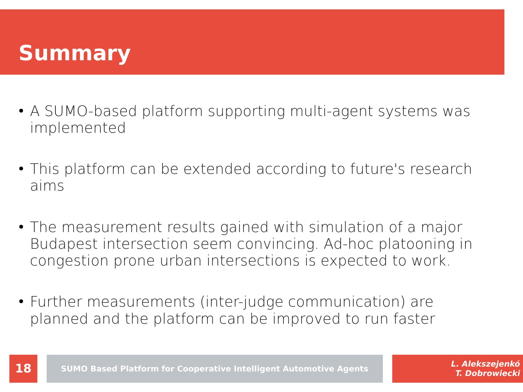# **Summary**

- A SUMO-based platform supporting multi-agent systems was implemented
- This platform can be extended according to future's research aims
- The measurement results gained with simulation of a major Budapest intersection seem convincing. Ad-hoc platooning in congestion prone urban intersections is expected to work.
- Further measurements (inter-judge communication) are planned and the platform can be improved to run faster